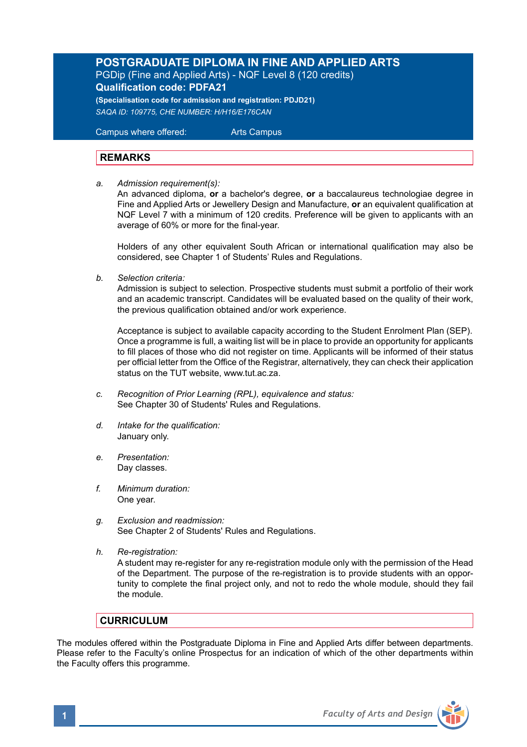# **POSTGRADUATE DIPLOMA IN FINE AND APPLIED ARTS**

PGDip (Fine and Applied Arts) - NQF Level 8 (120 credits) **Qualification code: PDFA21**

**(Specialisation code for admission and registration: PDJD21)** *SAQA ID: 109775, CHE NUMBER: H/H16/E176CAN* 

 Campus where offered: Arts Campus

# **REMARKS**

*a. Admission requirement(s):* 

An advanced diploma, **or** a bachelor's degree, **or** a baccalaureus technologiae degree in Fine and Applied Arts or Jewellery Design and Manufacture, **or** an equivalent qualification at NQF Level 7 with a minimum of 120 credits. Preference will be given to applicants with an average of 60% or more for the final-year.

Holders of any other equivalent South African or international qualification may also be considered, see Chapter 1 of Students' Rules and Regulations.

*b. Selection criteria:*

Admission is subject to selection. Prospective students must submit a portfolio of their work and an academic transcript. Candidates will be evaluated based on the quality of their work, the previous qualification obtained and/or work experience.

 Acceptance is subject to available capacity according to the Student Enrolment Plan (SEP). Once a programme is full, a waiting list will be in place to provide an opportunity for applicants to fill places of those who did not register on time. Applicants will be informed of their status per official letter from the Office of the Registrar, alternatively, they can check their application status on the TUT website, www.tut.ac.za.

- *c. Recognition of Prior Learning (RPL), equivalence and status:* See Chapter 30 of Students' Rules and Regulations.
- *d. Intake for the qualification:* January only.
- *e. Presentation:* Day classes.
- *f. Minimum duration:* One year.
- *g. Exclusion and readmission:* See Chapter 2 of Students' Rules and Regulations.
- *h. Re-registration:* A student may re-register for any re-registration module only with the permission of the Head of the Department. The purpose of the re-registration is to provide students with an opportunity to complete the final project only, and not to redo the whole module, should they fail the module.

# **CURRICULUM**

The modules offered within the Postgraduate Diploma in Fine and Applied Arts differ between departments. Please refer to the Faculty's online Prospectus for an indication of which of the other departments within the Faculty offers this programme.